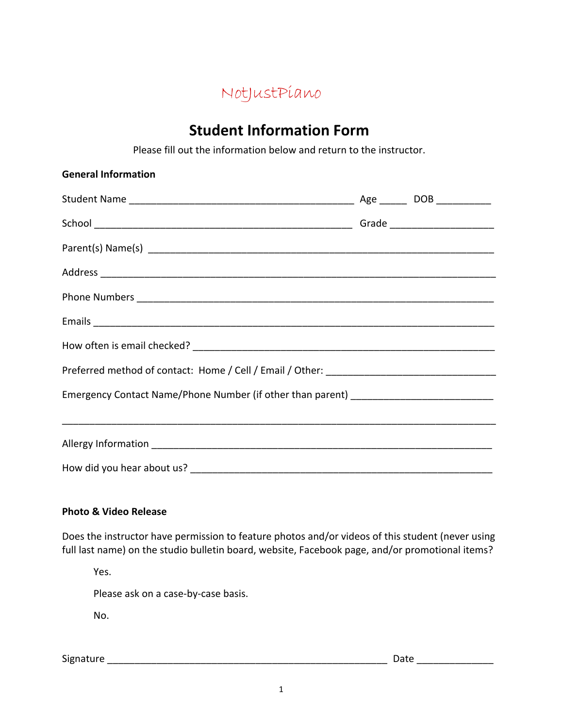

## **Student'Information Form**

Please fill out the information below and return to the instructor.

| <b>General Information</b>                                                        |  |  |
|-----------------------------------------------------------------------------------|--|--|
|                                                                                   |  |  |
|                                                                                   |  |  |
|                                                                                   |  |  |
|                                                                                   |  |  |
|                                                                                   |  |  |
|                                                                                   |  |  |
|                                                                                   |  |  |
|                                                                                   |  |  |
| Emergency Contact Name/Phone Number (if other than parent) ______________________ |  |  |
|                                                                                   |  |  |
|                                                                                   |  |  |
|                                                                                   |  |  |

## **Photo & Video Release**

Does the instructor have permission to feature photos and/or videos of this student (never using full last name) on the studio bulletin board, website, Facebook page, and/or promotional items?

Yes.

Please ask on a case-by-case basis.

No.

Signature!\_\_\_\_\_\_\_\_\_\_\_\_\_\_\_\_\_\_\_\_\_\_\_\_\_\_\_\_\_\_\_\_\_\_\_\_\_\_\_\_\_\_\_\_\_\_\_\_\_\_\_! Date!\_\_\_\_\_\_\_\_\_\_\_\_\_\_